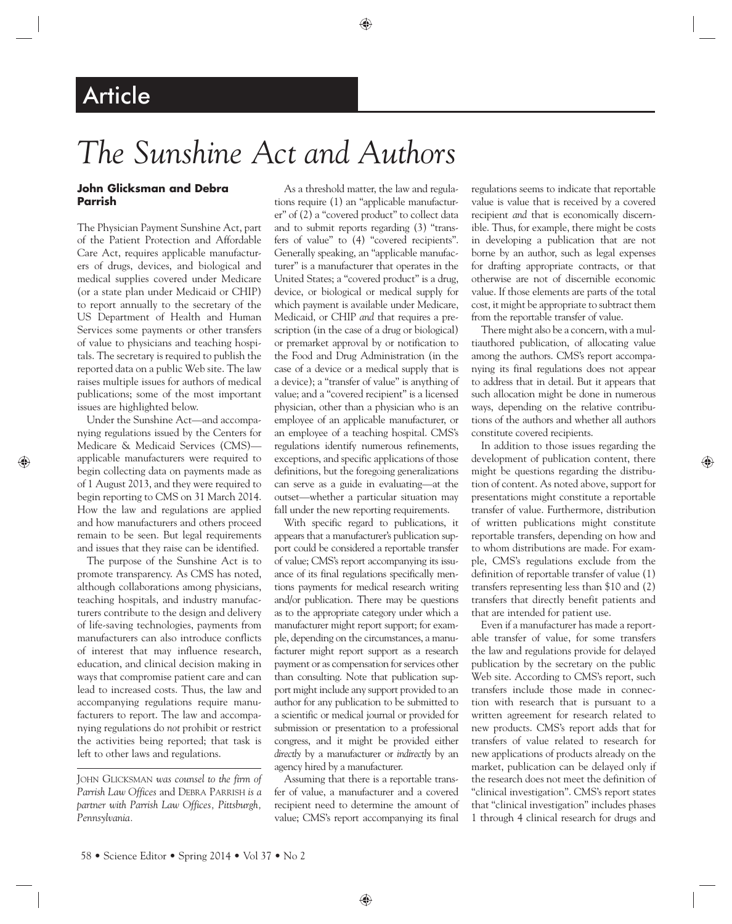## **Article**

# *The Sunshine Act and Authors*

## **John Glicksman and Debra Parrish**

The Physician Payment Sunshine Act, part of the Patient Protection and Affordable Care Act, requires applicable manufacturers of drugs, devices, and biological and medical supplies covered under Medicare (or a state plan under Medicaid or CHIP) to report annually to the secretary of the US Department of Health and Human Services some payments or other transfers of value to physicians and teaching hospitals. The secretary is required to publish the reported data on a public Web site. The law raises multiple issues for authors of medical publications; some of the most important issues are highlighted below.

Under the Sunshine Act—and accompanying regulations issued by the Centers for Medicare & Medicaid Services (CMS) applicable manufacturers were required to begin collecting data on payments made as of 1 August 2013, and they were required to begin reporting to CMS on 31 March 2014. How the law and regulations are applied and how manufacturers and others proceed remain to be seen. But legal requirements and issues that they raise can be identified.

The purpose of the Sunshine Act is to promote transparency. As CMS has noted, although collaborations among physicians, teaching hospitals, and industry manufacturers contribute to the design and delivery of life-saving technologies, payments from manufacturers can also introduce conflicts of interest that may influence research, education, and clinical decision making in ways that compromise patient care and can lead to increased costs. Thus, the law and accompanying regulations require manufacturers to report. The law and accompanying regulations do *not* prohibit or restrict the activities being reported; that task is left to other laws and regulations.

JOHN GLICKSMAN *was counsel to the firm of Parrish Law Offices* and DEBRA PARRISH *is a partner with Parrish Law Offices, Pittsburgh, Pennsylvania.*

As a threshold matter, the law and regulations require (1) an "applicable manufacturer" of (2) a "covered product" to collect data and to submit reports regarding (3) "transfers of value" to (4) "covered recipients". Generally speaking, an "applicable manufacturer" is a manufacturer that operates in the United States; a "covered product" is a drug, device, or biological or medical supply for which payment is available under Medicare, Medicaid, or CHIP *and* that requires a prescription (in the case of a drug or biological) or premarket approval by or notification to the Food and Drug Administration (in the case of a device or a medical supply that is a device); a "transfer of value" is anything of value; and a "covered recipient" is a licensed physician, other than a physician who is an employee of an applicable manufacturer, or an employee of a teaching hospital. CMS's regulations identify numerous refinements, exceptions, and specific applications of those definitions, but the foregoing generalizations can serve as a guide in evaluating—at the outset—whether a particular situation may fall under the new reporting requirements.

With specific regard to publications, it appears that a manufacturer's publication support could be considered a reportable transfer of value; CMS's report accompanying its issuance of its final regulations specifically mentions payments for medical research writing and/or publication. There may be questions as to the appropriate category under which a manufacturer might report support; for example, depending on the circumstances, a manufacturer might report support as a research payment or as compensation for services other than consulting. Note that publication support might include any support provided to an author for any publication to be submitted to a scientific or medical journal or provided for submission or presentation to a professional congress, and it might be provided either *directly* by a manufacturer or *indirectly* by an agency hired by a manufacturer.

Assuming that there is a reportable transfer of value, a manufacturer and a covered recipient need to determine the amount of value; CMS's report accompanying its final

regulations seems to indicate that reportable value is value that is received by a covered recipient *and* that is economically discernible. Thus, for example, there might be costs in developing a publication that are not borne by an author, such as legal expenses for drafting appropriate contracts, or that otherwise are not of discernible economic value. If those elements are parts of the total cost, it might be appropriate to subtract them from the reportable transfer of value.

There might also be a concern, with a multiauthored publication, of allocating value among the authors. CMS's report accompanying its final regulations does not appear to address that in detail. But it appears that such allocation might be done in numerous ways, depending on the relative contributions of the authors and whether all authors constitute covered recipients.

In addition to those issues regarding the development of publication content, there might be questions regarding the distribution of content. As noted above, support for presentations might constitute a reportable transfer of value. Furthermore, distribution of written publications might constitute reportable transfers, depending on how and to whom distributions are made. For example, CMS's regulations exclude from the definition of reportable transfer of value (1) transfers representing less than \$10 and (2) transfers that directly benefit patients and that are intended for patient use.

Even if a manufacturer has made a reportable transfer of value, for some transfers the law and regulations provide for delayed publication by the secretary on the public Web site. According to CMS's report, such transfers include those made in connection with research that is pursuant to a written agreement for research related to new products. CMS's report adds that for transfers of value related to research for new applications of products already on the market, publication can be delayed only if the research does not meet the definition of "clinical investigation". CMS's report states that "clinical investigation" includes phases 1 through 4 clinical research for drugs and